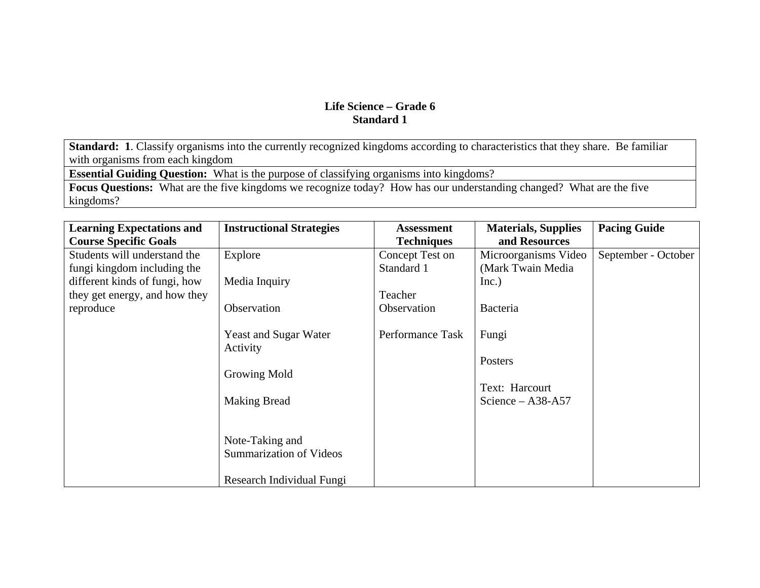**Standard: 1**. Classify organisms into the currently recognized kingdoms according to characteristics that they share. Be familiar with organisms from each kingdom

**Essential Guiding Question:** What is the purpose of classifying organisms into kingdoms?

**Focus Questions:** What are the five kingdoms we recognize today? How has our understanding changed? What are the five kingdoms?

| <b>Learning Expectations and</b> | <b>Instructional Strategies</b> | <b>Assessment</b> | <b>Materials, Supplies</b> | <b>Pacing Guide</b> |
|----------------------------------|---------------------------------|-------------------|----------------------------|---------------------|
| <b>Course Specific Goals</b>     |                                 | <b>Techniques</b> | and Resources              |                     |
| Students will understand the     | Explore                         | Concept Test on   | Microorganisms Video       | September - October |
| fungi kingdom including the      |                                 | Standard 1        | (Mark Twain Media          |                     |
| different kinds of fungi, how    | Media Inquiry                   |                   | Inc.)                      |                     |
| they get energy, and how they    |                                 | Teacher           |                            |                     |
| reproduce                        | Observation                     | Observation       | Bacteria                   |                     |
|                                  |                                 |                   |                            |                     |
|                                  | <b>Yeast and Sugar Water</b>    | Performance Task  | Fungi                      |                     |
|                                  | Activity                        |                   |                            |                     |
|                                  |                                 |                   | Posters                    |                     |
|                                  | Growing Mold                    |                   |                            |                     |
|                                  |                                 |                   | Text: Harcourt             |                     |
|                                  | <b>Making Bread</b>             |                   | Science $-$ A38-A57        |                     |
|                                  |                                 |                   |                            |                     |
|                                  |                                 |                   |                            |                     |
|                                  | Note-Taking and                 |                   |                            |                     |
|                                  | <b>Summarization of Videos</b>  |                   |                            |                     |
|                                  |                                 |                   |                            |                     |
|                                  | Research Individual Fungi       |                   |                            |                     |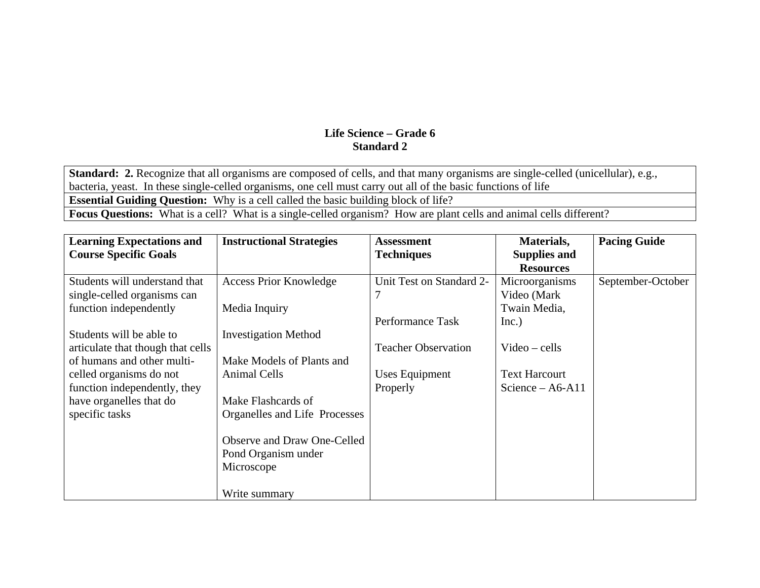**Standard: 2.** Recognize that all organisms are composed of cells, and that many organisms are single-celled (unicellular), e.g., bacteria, yeast. In these single-celled organisms, one cell must carry out all of the basic functions of life **Essential Guiding Question:** Why is a cell called the basic building block of life? **Focus Questions:** What is a cell? What is a single-celled organism? How are plant cells and animal cells different?

| <b>Learning Expectations and</b><br><b>Course Specific Goals</b> | <b>Instructional Strategies</b>                    | <b>Assessment</b><br><b>Techniques</b> | Materials,<br><b>Supplies and</b><br><b>Resources</b> | <b>Pacing Guide</b> |
|------------------------------------------------------------------|----------------------------------------------------|----------------------------------------|-------------------------------------------------------|---------------------|
| Students will understand that<br>single-celled organisms can     | <b>Access Prior Knowledge</b>                      | Unit Test on Standard 2-               | Microorganisms<br>Video (Mark                         | September-October   |
| function independently                                           | Media Inquiry                                      | Performance Task                       | Twain Media,<br>Inc.)                                 |                     |
| Students will be able to<br>articulate that though that cells    | <b>Investigation Method</b>                        | <b>Teacher Observation</b>             | $Video - cells$                                       |                     |
| of humans and other multi-<br>celled organisms do not            | Make Models of Plants and<br>Animal Cells          | Uses Equipment                         | <b>Text Harcourt</b>                                  |                     |
| function independently, they<br>have organelles that do          | Make Flashcards of                                 | Properly                               | Science $-$ A6-A11                                    |                     |
| specific tasks                                                   | Organelles and Life Processes                      |                                        |                                                       |                     |
|                                                                  | Observe and Draw One-Celled<br>Pond Organism under |                                        |                                                       |                     |
|                                                                  | Microscope                                         |                                        |                                                       |                     |
|                                                                  | Write summary                                      |                                        |                                                       |                     |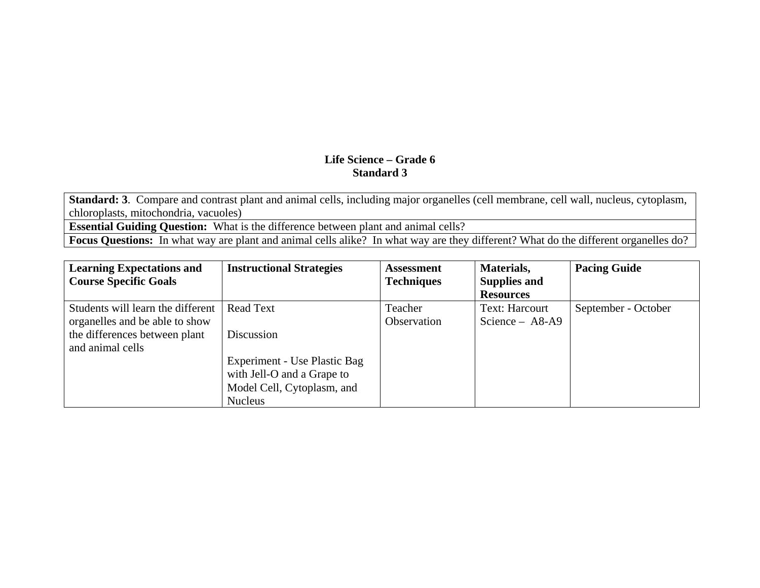**Standard: 3**. Compare and contrast plant and animal cells, including major organelles (cell membrane, cell wall, nucleus, cytoplasm, chloroplasts, mitochondria, vacuoles)

**Essential Guiding Question:** What is the difference between plant and animal cells?

**Focus Questions:** In what way are plant and animal cells alike? In what way are they different? What do the different organelles do?

| <b>Learning Expectations and</b>  | <b>Instructional Strategies</b> | <b>Assessment</b> | Materials,          | <b>Pacing Guide</b> |
|-----------------------------------|---------------------------------|-------------------|---------------------|---------------------|
| <b>Course Specific Goals</b>      |                                 | <b>Techniques</b> | <b>Supplies and</b> |                     |
|                                   |                                 |                   | <b>Resources</b>    |                     |
| Students will learn the different | <b>Read Text</b>                | Teacher           | Text: Harcourt      | September - October |
| organelles and be able to show    |                                 | Observation       | Science $-$ A8-A9   |                     |
| the differences between plant     | Discussion                      |                   |                     |                     |
| and animal cells                  |                                 |                   |                     |                     |
|                                   | Experiment - Use Plastic Bag    |                   |                     |                     |
|                                   | with Jell-O and a Grape to      |                   |                     |                     |
|                                   | Model Cell, Cytoplasm, and      |                   |                     |                     |
|                                   | <b>Nucleus</b>                  |                   |                     |                     |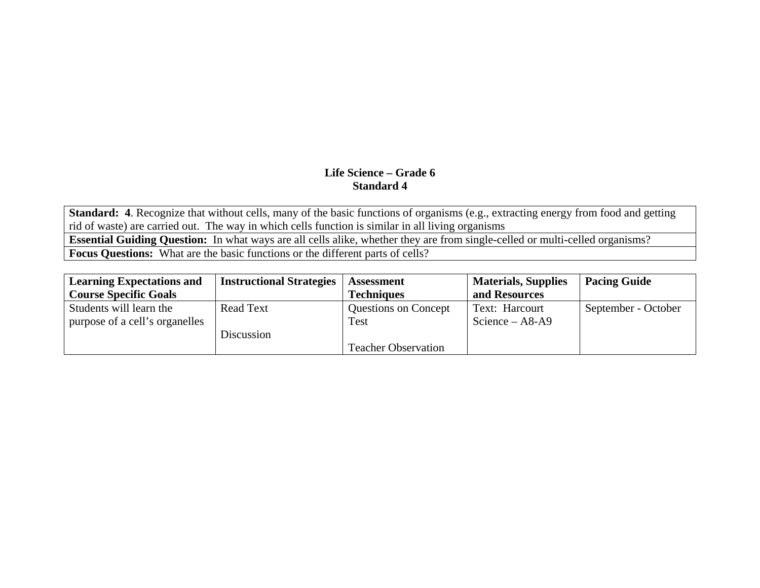**Standard: 4**. Recognize that without cells, many of the basic functions of organisms (e.g., extracting energy from food and getting rid of waste) are carried out. The way in which cells function is similar in all living organisms

**Essential Guiding Question:** In what ways are all cells alike, whether they are from single-celled or multi-celled organisms?

**Focus Questions:** What are the basic functions or the different parts of cells?

| <b>Learning Expectations and</b> | <b>Instructional Strategies</b> | <b>Assessment</b>           | <b>Materials, Supplies</b> | <b>Pacing Guide</b> |
|----------------------------------|---------------------------------|-----------------------------|----------------------------|---------------------|
| <b>Course Specific Goals</b>     |                                 | <b>Techniques</b>           | and Resources              |                     |
| Students will learn the          | Read Text                       | <b>Questions on Concept</b> | Text: Harcourt             | September - October |
| purpose of a cell's organelles   |                                 | <b>Test</b>                 | Science $-$ A8-A9          |                     |
|                                  | Discussion                      |                             |                            |                     |
|                                  |                                 | <b>Teacher Observation</b>  |                            |                     |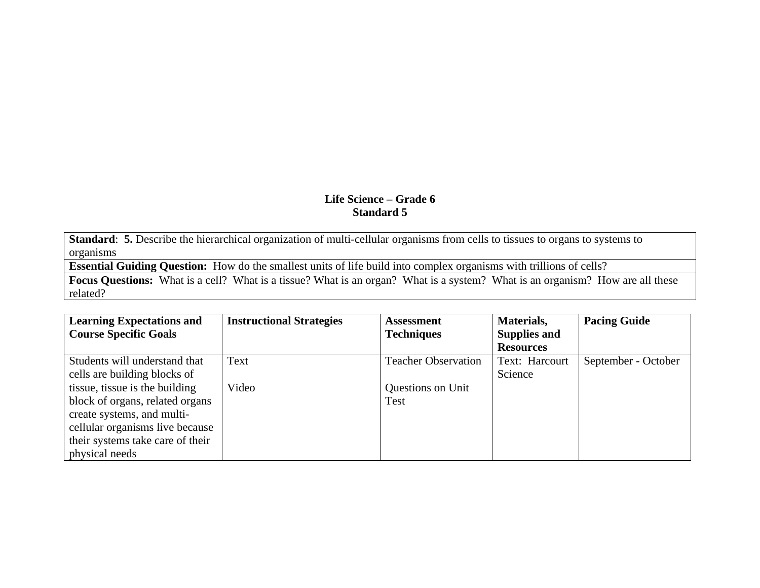**Standard**: **5.** Describe the hierarchical organization of multi-cellular organisms from cells to tissues to organs to systems to organisms

**Essential Guiding Question:** How do the smallest units of life build into complex organisms with trillions of cells?

**Focus Questions:** What is a cell? What is a tissue? What is an organ? What is a system? What is an organism? How are all these related?

| <b>Learning Expectations and</b> | <b>Instructional Strategies</b> | <b>Assessment</b>          | Materials,          | <b>Pacing Guide</b> |
|----------------------------------|---------------------------------|----------------------------|---------------------|---------------------|
| <b>Course Specific Goals</b>     |                                 | <b>Techniques</b>          | <b>Supplies and</b> |                     |
|                                  |                                 |                            | <b>Resources</b>    |                     |
| Students will understand that    | Text                            | <b>Teacher Observation</b> | Text: Harcourt      | September - October |
| cells are building blocks of     |                                 |                            | Science             |                     |
| tissue, tissue is the building   | Video                           | Questions on Unit          |                     |                     |
| block of organs, related organs  |                                 | Test                       |                     |                     |
| create systems, and multi-       |                                 |                            |                     |                     |
| cellular organisms live because  |                                 |                            |                     |                     |
| their systems take care of their |                                 |                            |                     |                     |
| physical needs                   |                                 |                            |                     |                     |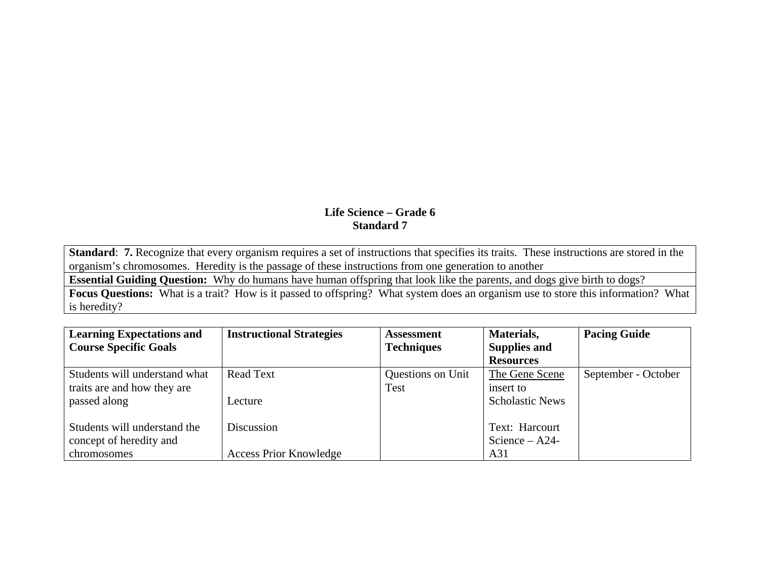**Standard**: **7.** Recognize that every organism requires a set of instructions that specifies its traits. These instructions are stored in the organism's chromosomes. Heredity is the passage of these instructions from one generation to another

**Essential Guiding Question:** Why do humans have human offspring that look like the parents, and dogs give birth to dogs?

**Focus Questions:** What is a trait? How is it passed to offspring? What system does an organism use to store this information? What is heredity?

| <b>Learning Expectations and</b> | <b>Instructional Strategies</b> | <b>Assessment</b> | Materials,             | <b>Pacing Guide</b> |
|----------------------------------|---------------------------------|-------------------|------------------------|---------------------|
| <b>Course Specific Goals</b>     |                                 | <b>Techniques</b> | <b>Supplies and</b>    |                     |
|                                  |                                 |                   | <b>Resources</b>       |                     |
| Students will understand what    | <b>Read Text</b>                | Questions on Unit | The Gene Scene         | September - October |
| traits are and how they are      |                                 | Test              | insert to              |                     |
| passed along                     | Lecture                         |                   | <b>Scholastic News</b> |                     |
|                                  |                                 |                   |                        |                     |
| Students will understand the     | Discussion                      |                   | Text: Harcourt         |                     |
| concept of heredity and          |                                 |                   | Science $-$ A24-       |                     |
| chromosomes                      | <b>Access Prior Knowledge</b>   |                   | A31                    |                     |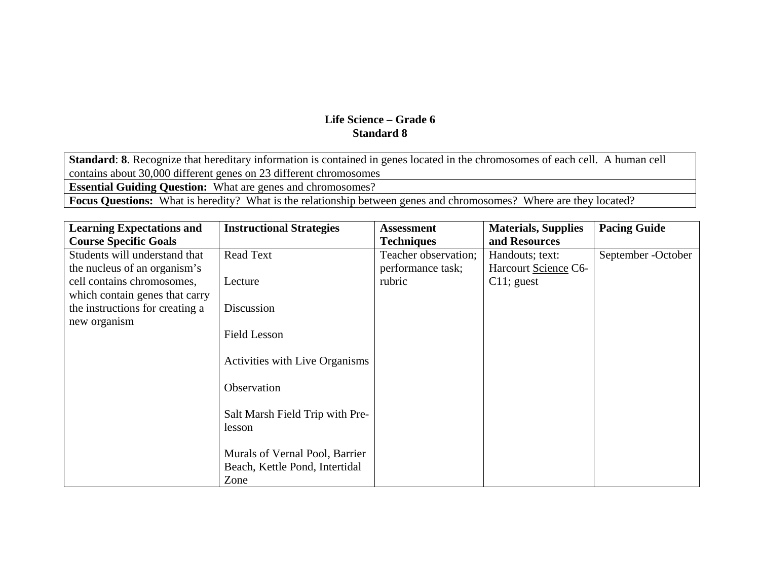**Standard**: **8**. Recognize that hereditary information is contained in genes located in the chromosomes of each cell. A human cell contains about 30,000 different genes on 23 different chromosomes **Essential Guiding Question:** What are genes and chromosomes?

**Focus Questions:** What is heredity? What is the relationship between genes and chromosomes? Where are they located?

| <b>Learning Expectations and</b> | <b>Instructional Strategies</b>       | <b>Assessment</b>    | <b>Materials, Supplies</b> | <b>Pacing Guide</b> |
|----------------------------------|---------------------------------------|----------------------|----------------------------|---------------------|
| <b>Course Specific Goals</b>     |                                       | <b>Techniques</b>    | and Resources              |                     |
| Students will understand that    | Read Text                             | Teacher observation; | Handouts; text:            | September - October |
| the nucleus of an organism's     |                                       | performance task;    | Harcourt Science C6-       |                     |
| cell contains chromosomes,       | Lecture                               | rubric               | $C11$ ; guest              |                     |
| which contain genes that carry   |                                       |                      |                            |                     |
| the instructions for creating a  | Discussion                            |                      |                            |                     |
| new organism                     |                                       |                      |                            |                     |
|                                  | <b>Field Lesson</b>                   |                      |                            |                     |
|                                  |                                       |                      |                            |                     |
|                                  | <b>Activities with Live Organisms</b> |                      |                            |                     |
|                                  |                                       |                      |                            |                     |
|                                  | Observation                           |                      |                            |                     |
|                                  |                                       |                      |                            |                     |
|                                  | Salt Marsh Field Trip with Pre-       |                      |                            |                     |
|                                  | lesson                                |                      |                            |                     |
|                                  | Murals of Vernal Pool, Barrier        |                      |                            |                     |
|                                  |                                       |                      |                            |                     |
|                                  | Beach, Kettle Pond, Intertidal        |                      |                            |                     |
|                                  | Zone                                  |                      |                            |                     |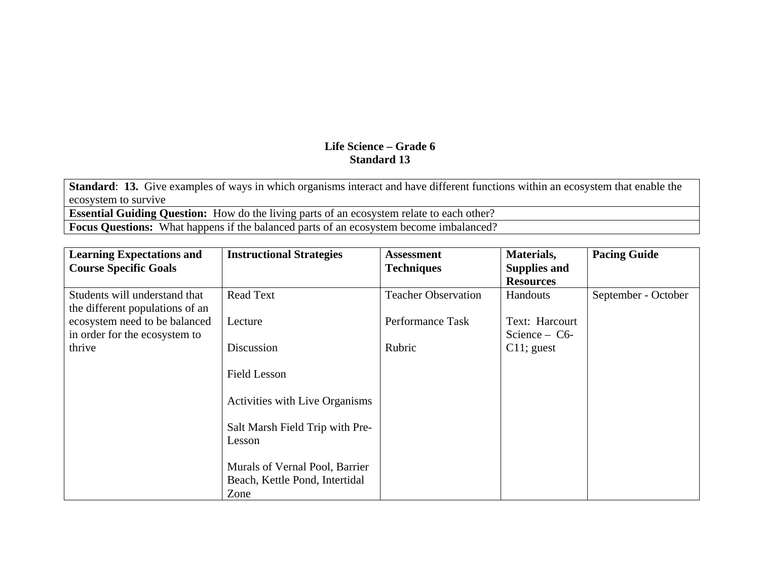**Standard**: **13.** Give examples of ways in which organisms interact and have different functions within an ecosystem that enable the ecosystem to survive

**Essential Guiding Question:** How do the living parts of an ecosystem relate to each other?

Focus Questions: What happens if the balanced parts of an ecosystem become imbalanced?

| <b>Learning Expectations and</b>                                 | <b>Instructional Strategies</b>                                          | <b>Assessment</b>          | Materials,                        | <b>Pacing Guide</b> |
|------------------------------------------------------------------|--------------------------------------------------------------------------|----------------------------|-----------------------------------|---------------------|
| <b>Course Specific Goals</b>                                     |                                                                          | <b>Techniques</b>          | <b>Supplies and</b>               |                     |
|                                                                  |                                                                          |                            | <b>Resources</b>                  |                     |
| Students will understand that<br>the different populations of an | <b>Read Text</b>                                                         | <b>Teacher Observation</b> | Handouts                          | September - October |
| ecosystem need to be balanced<br>in order for the ecosystem to   | Lecture                                                                  | Performance Task           | Text: Harcourt<br>Science $-$ C6- |                     |
| thrive                                                           | Discussion                                                               | Rubric                     | $C11$ ; guest                     |                     |
|                                                                  | <b>Field Lesson</b>                                                      |                            |                                   |                     |
|                                                                  | <b>Activities with Live Organisms</b>                                    |                            |                                   |                     |
|                                                                  | Salt Marsh Field Trip with Pre-<br>Lesson                                |                            |                                   |                     |
|                                                                  | Murals of Vernal Pool, Barrier<br>Beach, Kettle Pond, Intertidal<br>Zone |                            |                                   |                     |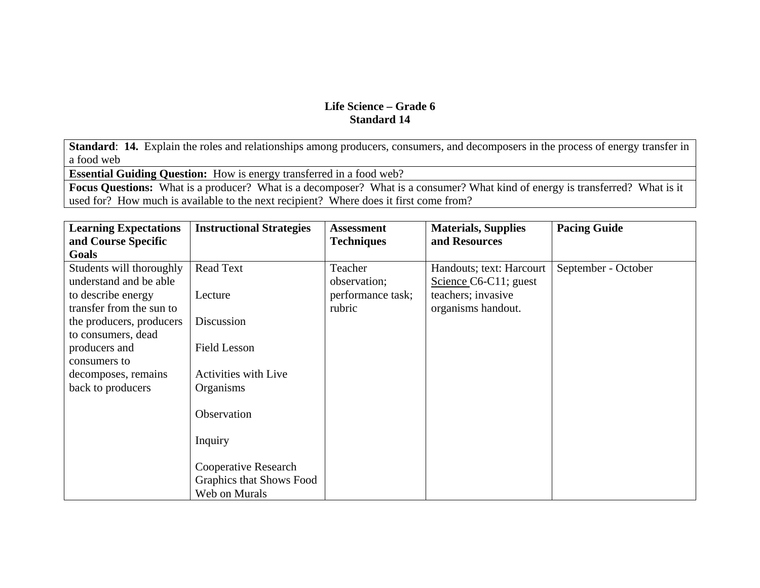**Standard**: **14.** Explain the roles and relationships among producers, consumers, and decomposers in the process of energy transfer in a food web

**Essential Guiding Question:** How is energy transferred in a food web?

**Focus Questions:** What is a producer? What is a decomposer? What is a consumer? What kind of energy is transferred? What is it used for? How much is available to the next recipient? Where does it first come from?

| <b>Learning Expectations</b> | <b>Instructional Strategies</b> | <b>Assessment</b> | <b>Materials, Supplies</b> | <b>Pacing Guide</b> |
|------------------------------|---------------------------------|-------------------|----------------------------|---------------------|
| and Course Specific          |                                 | <b>Techniques</b> | and Resources              |                     |
| Goals                        |                                 |                   |                            |                     |
| Students will thoroughly     | <b>Read Text</b>                | Teacher           | Handouts; text: Harcourt   | September - October |
| understand and be able       |                                 | observation;      | Science $C6-C11$ ; guest   |                     |
| to describe energy           | Lecture                         | performance task; | teachers; invasive         |                     |
| transfer from the sun to     |                                 | rubric            | organisms handout.         |                     |
| the producers, producers     | Discussion                      |                   |                            |                     |
| to consumers, dead           |                                 |                   |                            |                     |
| producers and                | <b>Field Lesson</b>             |                   |                            |                     |
| consumers to                 |                                 |                   |                            |                     |
| decomposes, remains          | <b>Activities with Live</b>     |                   |                            |                     |
| back to producers            | Organisms                       |                   |                            |                     |
|                              |                                 |                   |                            |                     |
|                              | Observation                     |                   |                            |                     |
|                              |                                 |                   |                            |                     |
|                              | Inquiry                         |                   |                            |                     |
|                              |                                 |                   |                            |                     |
|                              | Cooperative Research            |                   |                            |                     |
|                              | Graphics that Shows Food        |                   |                            |                     |
|                              | Web on Murals                   |                   |                            |                     |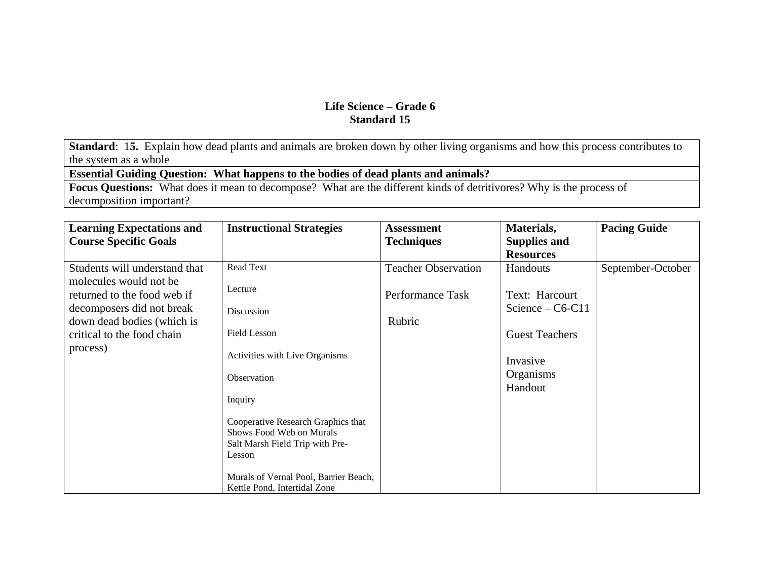**Standard**: 1**5.** Explain how dead plants and animals are broken down by other living organisms and how this process contributes to the system as a whole

**Essential Guiding Question: What happens to the bodies of dead plants and animals?**

**Focus Questions:** What does it mean to decompose? What are the different kinds of detritivores? Why is the process of decomposition important?

| <b>Learning Expectations and</b>                      | <b>Instructional Strategies</b>                                                                             | <b>Assessment</b>          | Materials,                       | <b>Pacing Guide</b> |
|-------------------------------------------------------|-------------------------------------------------------------------------------------------------------------|----------------------------|----------------------------------|---------------------|
| <b>Course Specific Goals</b>                          |                                                                                                             | <b>Techniques</b>          | <b>Supplies and</b>              |                     |
|                                                       |                                                                                                             |                            | <b>Resources</b>                 |                     |
| Students will understand that                         | Read Text                                                                                                   | <b>Teacher Observation</b> | Handouts                         | September-October   |
| molecules would not be<br>returned to the food web if | Lecture                                                                                                     | Performance Task           | Text: Harcourt                   |                     |
| decomposers did not break                             | Discussion                                                                                                  |                            | Science $-$ C6-C11               |                     |
| down dead bodies (which is                            |                                                                                                             | Rubric                     |                                  |                     |
| critical to the food chain                            | <b>Field Lesson</b>                                                                                         |                            | <b>Guest Teachers</b>            |                     |
| process)                                              | Activities with Live Organisms                                                                              |                            | Invasive<br>Organisms<br>Handout |                     |
|                                                       | Observation                                                                                                 |                            |                                  |                     |
|                                                       | Inquiry                                                                                                     |                            |                                  |                     |
|                                                       | Cooperative Research Graphics that<br>Shows Food Web on Murals<br>Salt Marsh Field Trip with Pre-<br>Lesson |                            |                                  |                     |
|                                                       | Murals of Vernal Pool, Barrier Beach,<br>Kettle Pond, Intertidal Zone                                       |                            |                                  |                     |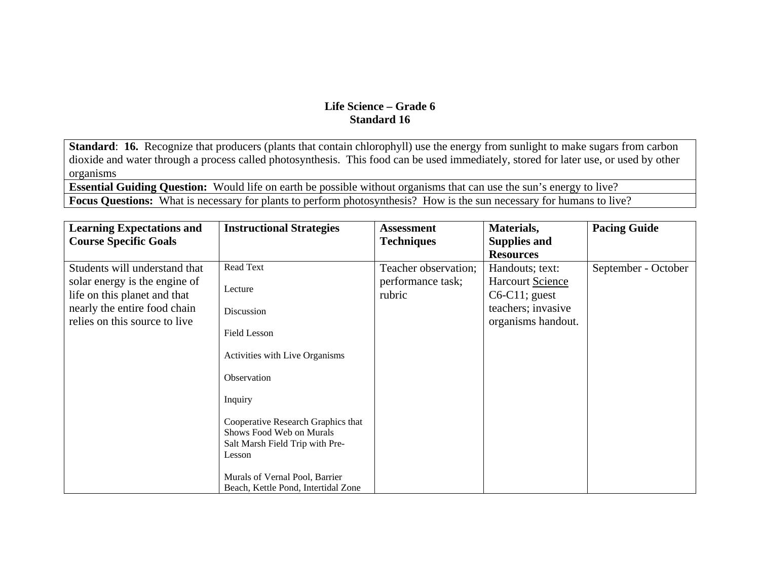**Standard: 16.** Recognize that producers (plants that contain chlorophyll) use the energy from sunlight to make sugars from carbon dioxide and water through a process called photosynthesis. This food can be used immediately, stored for later use, or used by other organisms

**Essential Guiding Question:** Would life on earth be possible without organisms that can use the sun's energy to live? **Focus Questions:** What is necessary for plants to perform photosynthesis? How is the sun necessary for humans to live?

| <b>Learning Expectations and</b>                              | <b>Instructional Strategies</b>                                                                             | <b>Assessment</b>           | Materials,                           | <b>Pacing Guide</b> |
|---------------------------------------------------------------|-------------------------------------------------------------------------------------------------------------|-----------------------------|--------------------------------------|---------------------|
| <b>Course Specific Goals</b>                                  |                                                                                                             | <b>Techniques</b>           | <b>Supplies and</b>                  |                     |
|                                                               |                                                                                                             |                             | <b>Resources</b>                     |                     |
| Students will understand that                                 | Read Text                                                                                                   | Teacher observation;        | Handouts; text:                      | September - October |
| solar energy is the engine of<br>life on this planet and that | Lecture                                                                                                     | performance task;<br>rubric | Harcourt Science<br>$C6-C11$ ; guest |                     |
| nearly the entire food chain                                  | Discussion                                                                                                  |                             | teachers; invasive                   |                     |
| relies on this source to live                                 | <b>Field Lesson</b>                                                                                         |                             | organisms handout.                   |                     |
|                                                               | Activities with Live Organisms                                                                              |                             |                                      |                     |
|                                                               | Observation                                                                                                 |                             |                                      |                     |
|                                                               | Inquiry                                                                                                     |                             |                                      |                     |
|                                                               | Cooperative Research Graphics that<br>Shows Food Web on Murals<br>Salt Marsh Field Trip with Pre-<br>Lesson |                             |                                      |                     |
|                                                               | Murals of Vernal Pool, Barrier<br>Beach, Kettle Pond, Intertidal Zone                                       |                             |                                      |                     |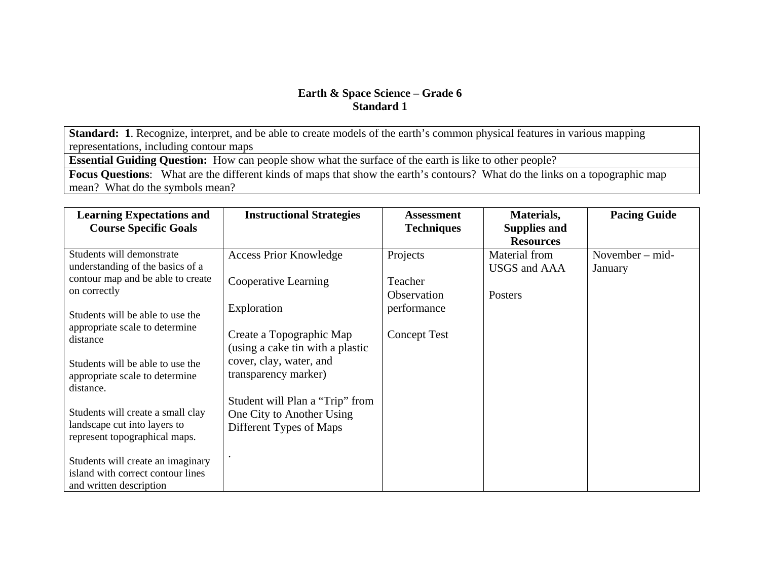**Standard: 1**. Recognize, interpret, and be able to create models of the earth's common physical features in various mapping representations, including contour maps

**Essential Guiding Question:** How can people show what the surface of the earth is like to other people?

**Focus Questions**: What are the different kinds of maps that show the earth's contours? What do the links on a topographic map mean? What do the symbols mean?

| <b>Learning Expectations and</b><br><b>Course Specific Goals</b>                                   | <b>Instructional Strategies</b>                                                         | <b>Assessment</b><br><b>Techniques</b> | Materials,<br><b>Supplies and</b>                        | <b>Pacing Guide</b>          |
|----------------------------------------------------------------------------------------------------|-----------------------------------------------------------------------------------------|----------------------------------------|----------------------------------------------------------|------------------------------|
| Students will demonstrate<br>understanding of the basics of a                                      | <b>Access Prior Knowledge</b>                                                           | Projects                               | <b>Resources</b><br>Material from<br><b>USGS</b> and AAA | November $-$ mid-<br>January |
| contour map and be able to create<br>on correctly                                                  | Cooperative Learning                                                                    | Teacher<br>Observation                 | Posters                                                  |                              |
| Students will be able to use the<br>appropriate scale to determine<br>distance                     | Exploration<br>Create a Topographic Map<br>(using a cake tin with a plastic             | performance<br><b>Concept Test</b>     |                                                          |                              |
| Students will be able to use the<br>appropriate scale to determine<br>distance.                    | cover, clay, water, and<br>transparency marker)                                         |                                        |                                                          |                              |
| Students will create a small clay<br>landscape cut into layers to<br>represent topographical maps. | Student will Plan a "Trip" from<br>One City to Another Using<br>Different Types of Maps |                                        |                                                          |                              |
| Students will create an imaginary<br>island with correct contour lines<br>and written description  |                                                                                         |                                        |                                                          |                              |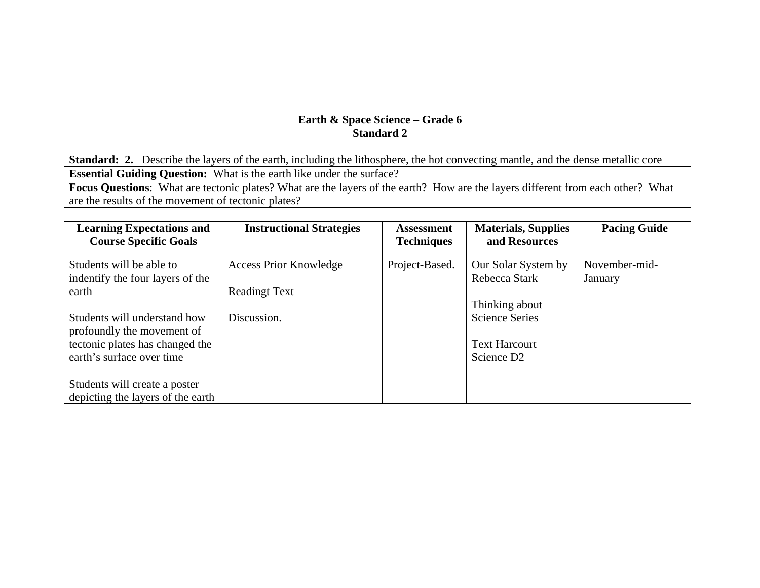**Standard: 2.** Describe the layers of the earth, including the lithosphere, the hot convecting mantle, and the dense metallic core **Essential Guiding Question:** What is the earth like under the surface?

**Focus Questions**: What are tectonic plates? What are the layers of the earth? How are the layers different from each other? What are the results of the movement of tectonic plates?

| <b>Learning Expectations and</b><br><b>Course Specific Goals</b> | <b>Instructional Strategies</b> | Assessment<br><b>Techniques</b> | <b>Materials, Supplies</b><br>and Resources | <b>Pacing Guide</b> |
|------------------------------------------------------------------|---------------------------------|---------------------------------|---------------------------------------------|---------------------|
| Students will be able to                                         | <b>Access Prior Knowledge</b>   | Project-Based.                  | Our Solar System by                         | November-mid-       |
| indentify the four layers of the                                 |                                 |                                 | Rebecca Stark                               | January             |
| earth                                                            | <b>Readingt Text</b>            |                                 |                                             |                     |
|                                                                  |                                 |                                 | Thinking about                              |                     |
| Students will understand how                                     | Discussion.                     |                                 | <b>Science Series</b>                       |                     |
| profoundly the movement of                                       |                                 |                                 |                                             |                     |
| tectonic plates has changed the                                  |                                 |                                 | <b>Text Harcourt</b>                        |                     |
| earth's surface over time                                        |                                 |                                 | Science D <sub>2</sub>                      |                     |
|                                                                  |                                 |                                 |                                             |                     |
| Students will create a poster                                    |                                 |                                 |                                             |                     |
| depicting the layers of the earth                                |                                 |                                 |                                             |                     |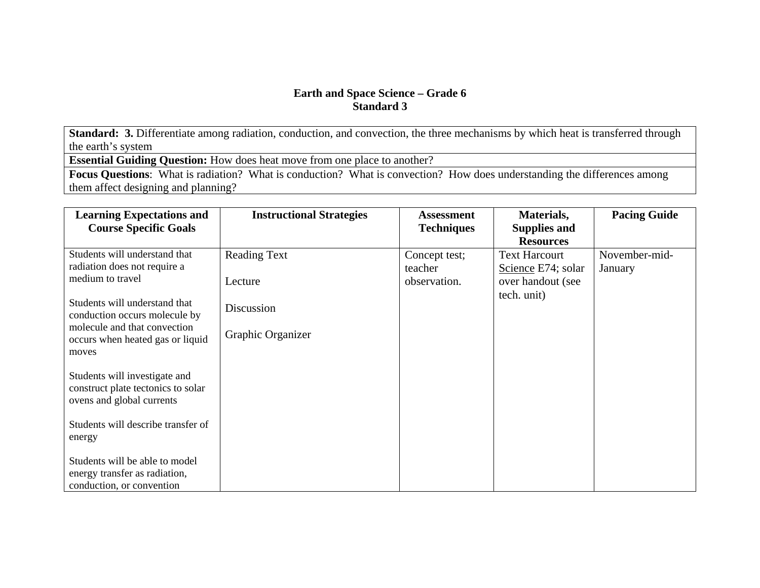**Standard: 3.** Differentiate among radiation, conduction, and convection, the three mechanisms by which heat is transferred through the earth's system

**Essential Guiding Question:** How does heat move from one place to another?

**Focus Questions**: What is radiation? What is conduction? What is convection? How does understanding the differences among them affect designing and planning?

| <b>Learning Expectations and</b><br><b>Course Specific Goals</b>                                 | <b>Instructional Strategies</b> | <b>Assessment</b><br><b>Techniques</b>   | Materials,<br><b>Supplies and</b><br><b>Resources</b>           | <b>Pacing Guide</b>      |
|--------------------------------------------------------------------------------------------------|---------------------------------|------------------------------------------|-----------------------------------------------------------------|--------------------------|
| Students will understand that<br>radiation does not require a<br>medium to travel                | <b>Reading Text</b><br>Lecture  | Concept test;<br>teacher<br>observation. | <b>Text Harcourt</b><br>Science E74; solar<br>over handout (see | November-mid-<br>January |
| Students will understand that<br>conduction occurs molecule by<br>molecule and that convection   | Discussion                      |                                          | tech. unit)                                                     |                          |
| occurs when heated gas or liquid<br>moves                                                        | Graphic Organizer               |                                          |                                                                 |                          |
| Students will investigate and<br>construct plate tectonics to solar<br>ovens and global currents |                                 |                                          |                                                                 |                          |
| Students will describe transfer of<br>energy                                                     |                                 |                                          |                                                                 |                          |
| Students will be able to model<br>energy transfer as radiation,<br>conduction, or convention     |                                 |                                          |                                                                 |                          |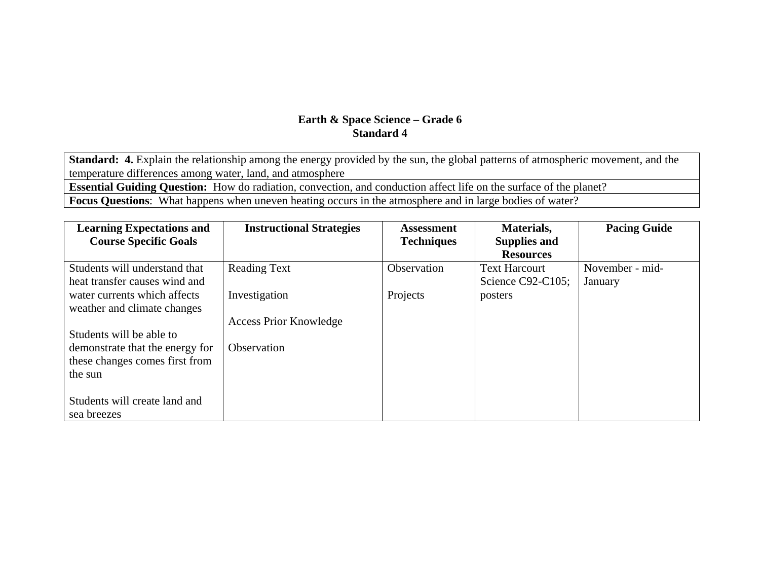**Standard: 4.** Explain the relationship among the energy provided by the sun, the global patterns of atmospheric movement, and the temperature differences among water, land, and atmosphere

**Essential Guiding Question:** How do radiation, convection, and conduction affect life on the surface of the planet?

**Focus Questions**: What happens when uneven heating occurs in the atmosphere and in large bodies of water?

| <b>Learning Expectations and</b> | <b>Instructional Strategies</b> | <b>Assessment</b>  | Materials,           | <b>Pacing Guide</b> |
|----------------------------------|---------------------------------|--------------------|----------------------|---------------------|
| <b>Course Specific Goals</b>     |                                 | <b>Techniques</b>  | <b>Supplies and</b>  |                     |
|                                  |                                 |                    | <b>Resources</b>     |                     |
| Students will understand that    | <b>Reading Text</b>             | <b>Observation</b> | <b>Text Harcourt</b> | November - mid-     |
| heat transfer causes wind and    |                                 |                    | Science C92-C105;    | January             |
| water currents which affects     | Investigation                   | Projects           | posters              |                     |
| weather and climate changes      |                                 |                    |                      |                     |
|                                  | <b>Access Prior Knowledge</b>   |                    |                      |                     |
| Students will be able to         |                                 |                    |                      |                     |
| demonstrate that the energy for  | Observation                     |                    |                      |                     |
| these changes comes first from   |                                 |                    |                      |                     |
| the sun                          |                                 |                    |                      |                     |
|                                  |                                 |                    |                      |                     |
| Students will create land and    |                                 |                    |                      |                     |
| sea breezes                      |                                 |                    |                      |                     |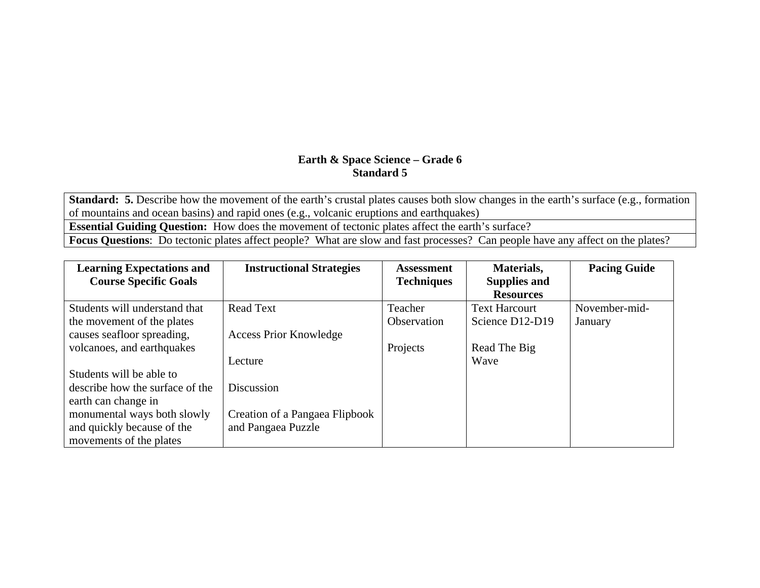**Standard: 5.** Describe how the movement of the earth's crustal plates causes both slow changes in the earth's surface (e.g., formation of mountains and ocean basins) and rapid ones (e.g., volcanic eruptions and earthquakes)

**Essential Guiding Question:** How does the movement of tectonic plates affect the earth's surface?

**Focus Questions**: Do tectonic plates affect people? What are slow and fast processes? Can people have any affect on the plates?

| <b>Learning Expectations and</b> | <b>Instructional Strategies</b> | <b>Assessment</b> | Materials,           | <b>Pacing Guide</b> |
|----------------------------------|---------------------------------|-------------------|----------------------|---------------------|
| <b>Course Specific Goals</b>     |                                 | <b>Techniques</b> | <b>Supplies and</b>  |                     |
|                                  |                                 |                   | <b>Resources</b>     |                     |
| Students will understand that    | <b>Read Text</b>                | Teacher           | <b>Text Harcourt</b> | November-mid-       |
| the movement of the plates       |                                 | Observation       | Science D12-D19      | January             |
| causes seafloor spreading,       | <b>Access Prior Knowledge</b>   |                   |                      |                     |
| volcanoes, and earthquakes       |                                 | Projects          | Read The Big         |                     |
|                                  | Lecture                         |                   | Wave                 |                     |
| Students will be able to         |                                 |                   |                      |                     |
| describe how the surface of the  | <b>Discussion</b>               |                   |                      |                     |
| earth can change in              |                                 |                   |                      |                     |
| monumental ways both slowly      | Creation of a Pangaea Flipbook  |                   |                      |                     |
| and quickly because of the       | and Pangaea Puzzle              |                   |                      |                     |
| movements of the plates          |                                 |                   |                      |                     |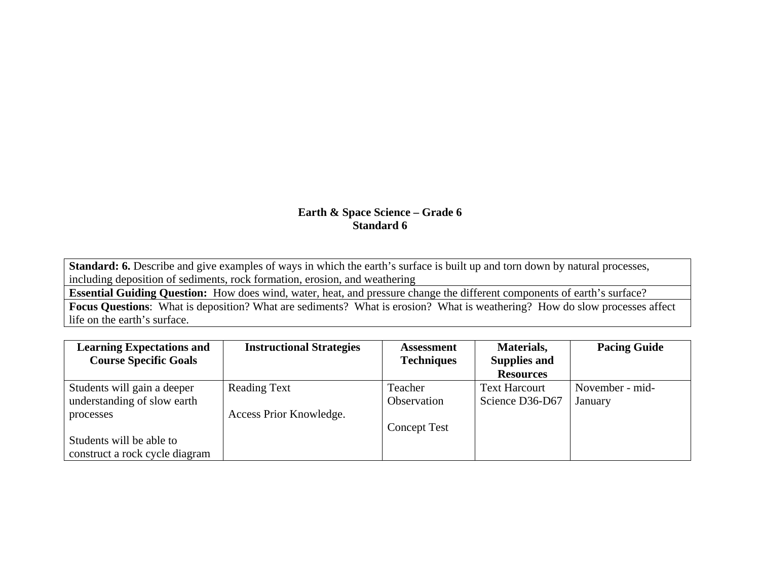Standard: 6. Describe and give examples of ways in which the earth's surface is built up and torn down by natural processes, including deposition of sediments, rock formation, erosion, and weathering

**Essential Guiding Question:** How does wind, water, heat, and pressure change the different components of earth's surface?

**Focus Questions**: What is deposition? What are sediments? What is erosion? What is weathering? How do slow processes affect life on the earth's surface.

| <b>Learning Expectations and</b> | <b>Instructional Strategies</b> | <b>Assessment</b>   | Materials,           | <b>Pacing Guide</b> |
|----------------------------------|---------------------------------|---------------------|----------------------|---------------------|
| <b>Course Specific Goals</b>     |                                 | <b>Techniques</b>   | <b>Supplies and</b>  |                     |
|                                  |                                 |                     | <b>Resources</b>     |                     |
| Students will gain a deeper      | <b>Reading Text</b>             | Teacher             | <b>Text Harcourt</b> | November - mid-     |
| understanding of slow earth      |                                 | Observation         | Science D36-D67      | January             |
| processes                        | Access Prior Knowledge.         |                     |                      |                     |
|                                  |                                 | <b>Concept Test</b> |                      |                     |
| Students will be able to         |                                 |                     |                      |                     |
| construct a rock cycle diagram   |                                 |                     |                      |                     |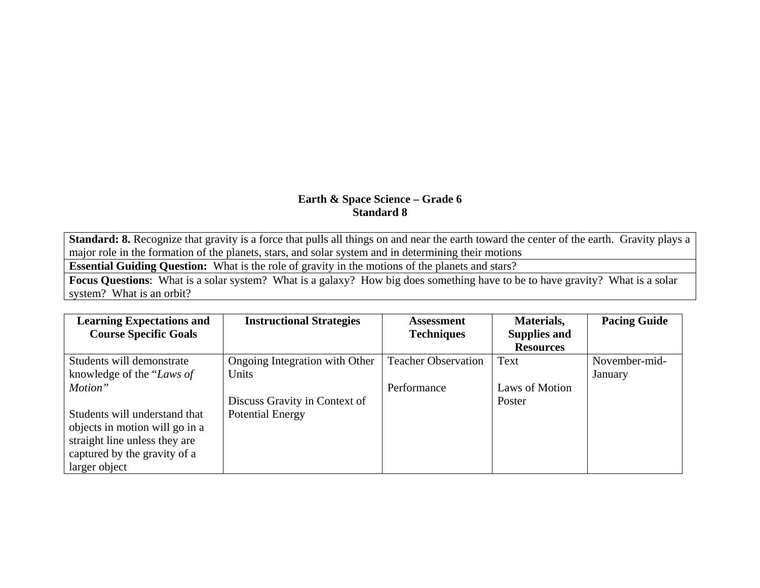**Standard: 8.** Recognize that gravity is a force that pulls all things on and near the earth toward the center of the earth. Gravity plays a major role in the formation of the planets, stars, and solar system and in determining their motions

**Essential Guiding Question:** What is the role of gravity in the motions of the planets and stars?

**Focus Questions**: What is a solar system? What is a galaxy? How big does something have to be to have gravity? What is a solar system? What is an orbit?

| <b>Learning Expectations and</b> | <b>Instructional Strategies</b> | <b>Assessment</b>          | Materials,          | <b>Pacing Guide</b> |
|----------------------------------|---------------------------------|----------------------------|---------------------|---------------------|
| <b>Course Specific Goals</b>     |                                 | <b>Techniques</b>          | <b>Supplies and</b> |                     |
|                                  |                                 |                            | <b>Resources</b>    |                     |
| Students will demonstrate        | Ongoing Integration with Other  | <b>Teacher Observation</b> | Text                | November-mid-       |
| knowledge of the "Laws of        | Units                           |                            |                     | January             |
| Motion"                          |                                 | Performance                | Laws of Motion      |                     |
|                                  | Discuss Gravity in Context of   |                            | Poster              |                     |
| Students will understand that    | <b>Potential Energy</b>         |                            |                     |                     |
| objects in motion will go in a   |                                 |                            |                     |                     |
| straight line unless they are    |                                 |                            |                     |                     |
| captured by the gravity of a     |                                 |                            |                     |                     |
| larger object                    |                                 |                            |                     |                     |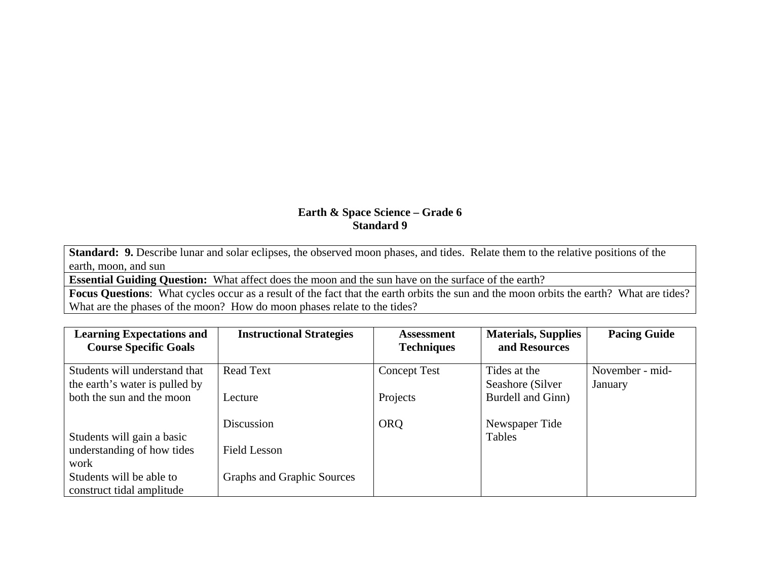**Standard: 9.** Describe lunar and solar eclipses, the observed moon phases, and tides. Relate them to the relative positions of the earth, moon, and sun

**Essential Guiding Question:** What affect does the moon and the sun have on the surface of the earth?

**Focus Questions**: What cycles occur as a result of the fact that the earth orbits the sun and the moon orbits the earth? What are tides? What are the phases of the moon? How do moon phases relate to the tides?

| <b>Learning Expectations and</b><br><b>Course Specific Goals</b> | <b>Instructional Strategies</b> | <b>Assessment</b><br><b>Techniques</b> | <b>Materials, Supplies</b><br>and Resources | <b>Pacing Guide</b> |
|------------------------------------------------------------------|---------------------------------|----------------------------------------|---------------------------------------------|---------------------|
|                                                                  |                                 |                                        |                                             |                     |
| Students will understand that                                    | <b>Read Text</b>                | <b>Concept Test</b>                    | Tides at the                                | November - mid-     |
| the earth's water is pulled by                                   |                                 |                                        | Seashore (Silver                            | January             |
| both the sun and the moon                                        | Lecture                         | Projects                               | Burdell and Ginn)                           |                     |
|                                                                  |                                 |                                        |                                             |                     |
|                                                                  | Discussion                      | <b>ORQ</b>                             | Newspaper Tide                              |                     |
| Students will gain a basic                                       |                                 |                                        | <b>Tables</b>                               |                     |
| understanding of how tides                                       | <b>Field Lesson</b>             |                                        |                                             |                     |
| work                                                             |                                 |                                        |                                             |                     |
| Students will be able to                                         | Graphs and Graphic Sources      |                                        |                                             |                     |
| construct tidal amplitude                                        |                                 |                                        |                                             |                     |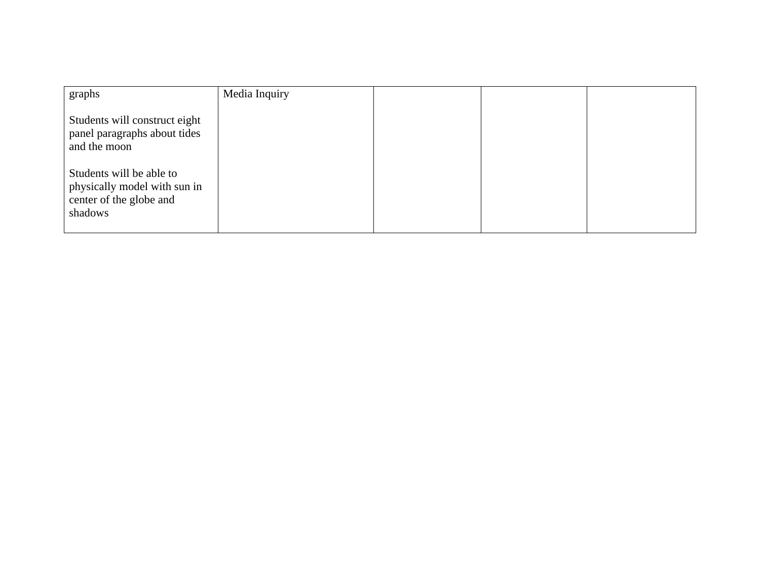| graphs                                                                                         | Media Inquiry |  |  |
|------------------------------------------------------------------------------------------------|---------------|--|--|
| Students will construct eight<br>panel paragraphs about tides<br>and the moon                  |               |  |  |
| Students will be able to<br>physically model with sun in<br>center of the globe and<br>shadows |               |  |  |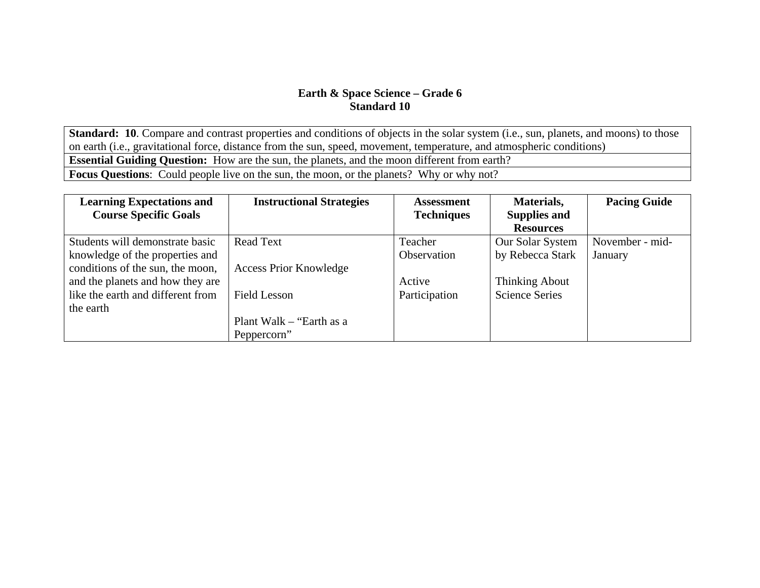**Standard: 10**. Compare and contrast properties and conditions of objects in the solar system (i.e., sun, planets, and moons) to those on earth (i.e., gravitational force, distance from the sun, speed, movement, temperature, and atmospheric conditions) **Essential Guiding Question:** How are the sun, the planets, and the moon different from earth? **Focus Questions**: Could people live on the sun, the moon, or the planets? Why or why not?

| <b>Learning Expectations and</b>  | <b>Instructional Strategies</b> | <b>Assessment</b>  | Materials,            | <b>Pacing Guide</b> |
|-----------------------------------|---------------------------------|--------------------|-----------------------|---------------------|
| <b>Course Specific Goals</b>      |                                 | <b>Techniques</b>  | <b>Supplies and</b>   |                     |
|                                   |                                 |                    | <b>Resources</b>      |                     |
| Students will demonstrate basic   | <b>Read Text</b>                | Teacher            | Our Solar System      | November - mid-     |
| knowledge of the properties and   |                                 | <b>Observation</b> | by Rebecca Stark      | January             |
| conditions of the sun, the moon,  | <b>Access Prior Knowledge</b>   |                    |                       |                     |
| and the planets and how they are  |                                 | Active             | <b>Thinking About</b> |                     |
| like the earth and different from | <b>Field Lesson</b>             | Participation      | <b>Science Series</b> |                     |
| the earth                         |                                 |                    |                       |                     |
|                                   | Plant Walk $-$ "Earth as a      |                    |                       |                     |
|                                   | Peppercorn"                     |                    |                       |                     |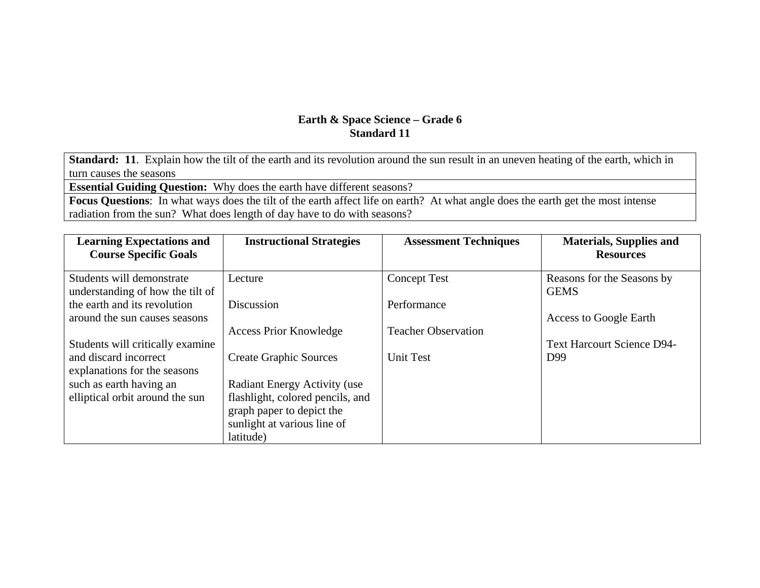**Standard: 11**. Explain how the tilt of the earth and its revolution around the sun result in an uneven heating of the earth, which in turn causes the seasons

**Essential Guiding Question:** Why does the earth have different seasons?

**Focus Questions**: In what ways does the tilt of the earth affect life on earth? At what angle does the earth get the most intense radiation from the sun? What does length of day have to do with seasons?

| <b>Learning Expectations and</b><br><b>Course Specific Goals</b> | <b>Instructional Strategies</b>                                         | <b>Assessment Techniques</b> | <b>Materials, Supplies and</b><br><b>Resources</b> |
|------------------------------------------------------------------|-------------------------------------------------------------------------|------------------------------|----------------------------------------------------|
| Students will demonstrate<br>understanding of how the tilt of    | Lecture                                                                 | <b>Concept Test</b>          | Reasons for the Seasons by<br><b>GEMS</b>          |
| the earth and its revolution<br>around the sun causes seasons    | Discussion                                                              | Performance                  | <b>Access to Google Earth</b>                      |
| Students will critically examine                                 | <b>Access Prior Knowledge</b>                                           | <b>Teacher Observation</b>   | <b>Text Harcourt Science D94-</b>                  |
| and discard incorrect<br>explanations for the seasons            | <b>Create Graphic Sources</b>                                           | <b>Unit Test</b>             | D99                                                |
| such as earth having an<br>elliptical orbit around the sun       | <b>Radiant Energy Activity (use</b><br>flashlight, colored pencils, and |                              |                                                    |
|                                                                  | graph paper to depict the                                               |                              |                                                    |
|                                                                  | sunlight at various line of<br>latitude)                                |                              |                                                    |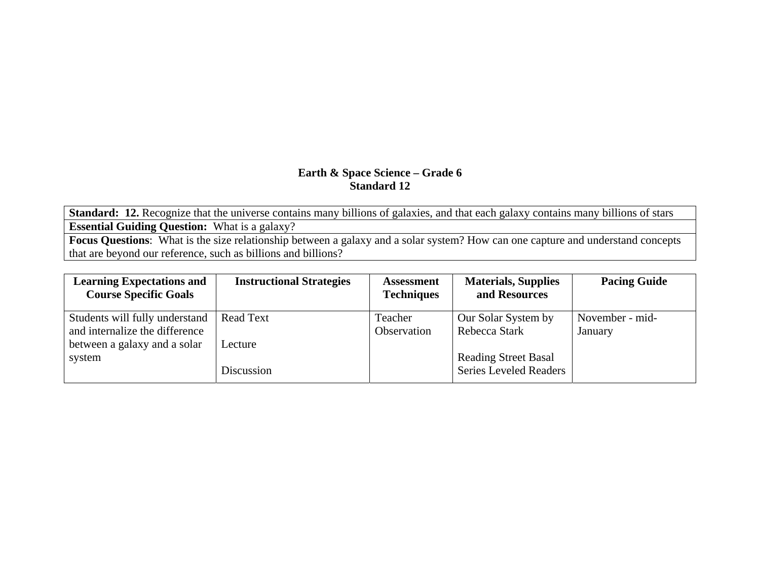**Standard: 12.** Recognize that the universe contains many billions of galaxies, and that each galaxy contains many billions of stars **Essential Guiding Question:** What is a galaxy?

**Focus Questions**: What is the size relationship between a galaxy and a solar system? How can one capture and understand concepts that are beyond our reference, such as billions and billions?

| <b>Learning Expectations and</b><br><b>Course Specific Goals</b> | <b>Instructional Strategies</b> | <b>Assessment</b><br><b>Techniques</b> | <b>Materials, Supplies</b><br>and Resources | <b>Pacing Guide</b> |
|------------------------------------------------------------------|---------------------------------|----------------------------------------|---------------------------------------------|---------------------|
| Students will fully understand                                   | <b>Read Text</b>                | Teacher                                | Our Solar System by                         | November - mid-     |
| and internalize the difference                                   |                                 | Observation                            | Rebecca Stark                               | January             |
| between a galaxy and a solar                                     | Lecture                         |                                        |                                             |                     |
| system                                                           |                                 |                                        | <b>Reading Street Basal</b>                 |                     |
|                                                                  | Discussion                      |                                        | <b>Series Leveled Readers</b>               |                     |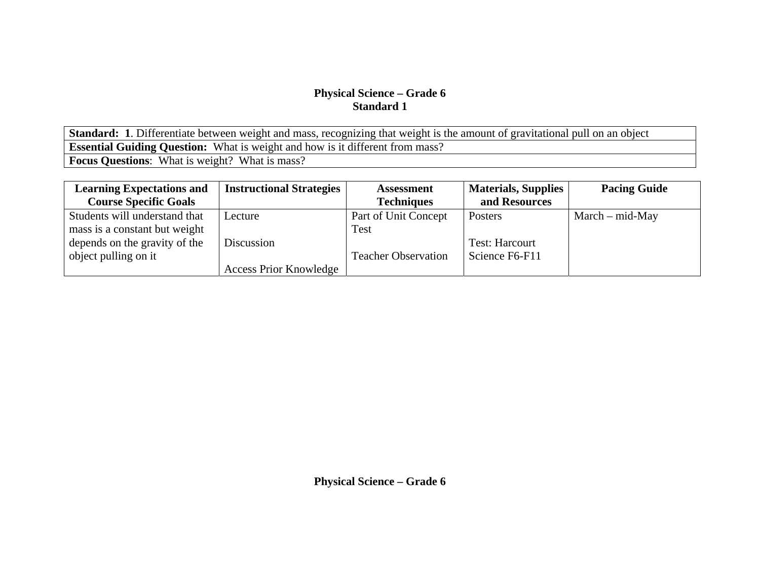**Standard: 1**. Differentiate between weight and mass, recognizing that weight is the amount of gravitational pull on an object **Essential Guiding Question:** What is weight and how is it different from mass? **Focus Questions**: What is weight? What is mass?

| <b>Learning Expectations and</b> | <b>Instructional Strategies</b> | <b>Assessment</b>          | <b>Materials, Supplies</b> | <b>Pacing Guide</b> |
|----------------------------------|---------------------------------|----------------------------|----------------------------|---------------------|
| <b>Course Specific Goals</b>     |                                 | <b>Techniques</b>          | and Resources              |                     |
| Students will understand that    | Lecture                         | Part of Unit Concept       | Posters                    | $March - mid-May$   |
| mass is a constant but weight    |                                 | Test                       |                            |                     |
| depends on the gravity of the    | Discussion                      |                            | <b>Test: Harcourt</b>      |                     |
| object pulling on it             |                                 | <b>Teacher Observation</b> | Science F6-F11             |                     |
|                                  | <b>Access Prior Knowledge</b>   |                            |                            |                     |

**Physical Science – Grade 6**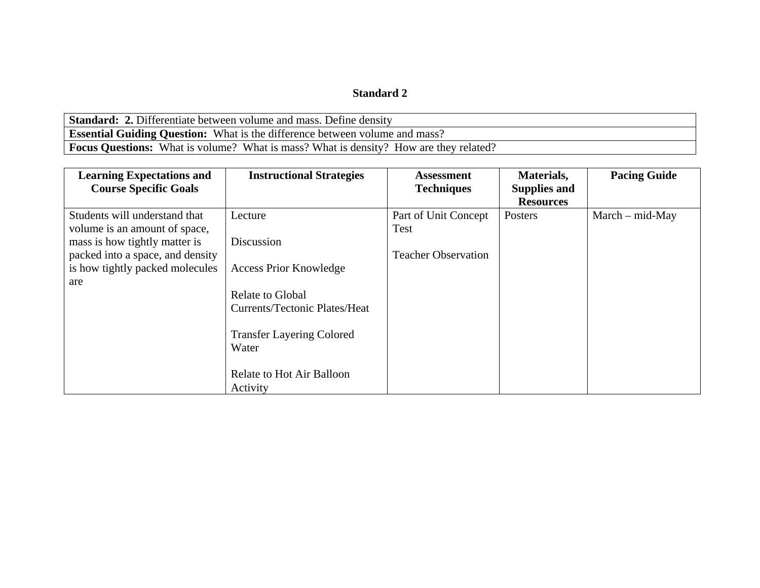#### **Standard 2**

**Standard: 2.** Differentiate between volume and mass. Define density **Essential Guiding Question:** What is the difference between volume and mass? Focus Questions: What is volume? What is mass? What is density? How are they related?

| <b>Learning Expectations and</b><br><b>Course Specific Goals</b>                                     | <b>Instructional Strategies</b>                          | <b>Assessment</b><br><b>Techniques</b> | Materials,<br><b>Supplies and</b> | <b>Pacing Guide</b> |
|------------------------------------------------------------------------------------------------------|----------------------------------------------------------|----------------------------------------|-----------------------------------|---------------------|
|                                                                                                      |                                                          |                                        | <b>Resources</b>                  |                     |
| Students will understand that<br>volume is an amount of space,                                       | Lecture<br>Discussion                                    | Part of Unit Concept<br>Test           | Posters                           | $March - mid-May$   |
| mass is how tightly matter is<br>packed into a space, and density<br>is how tightly packed molecules | <b>Access Prior Knowledge</b>                            | <b>Teacher Observation</b>             |                                   |                     |
| are                                                                                                  | Relate to Global<br><b>Currents/Tectonic Plates/Heat</b> |                                        |                                   |                     |
|                                                                                                      | <b>Transfer Layering Colored</b><br>Water                |                                        |                                   |                     |
|                                                                                                      | Relate to Hot Air Balloon<br>Activity                    |                                        |                                   |                     |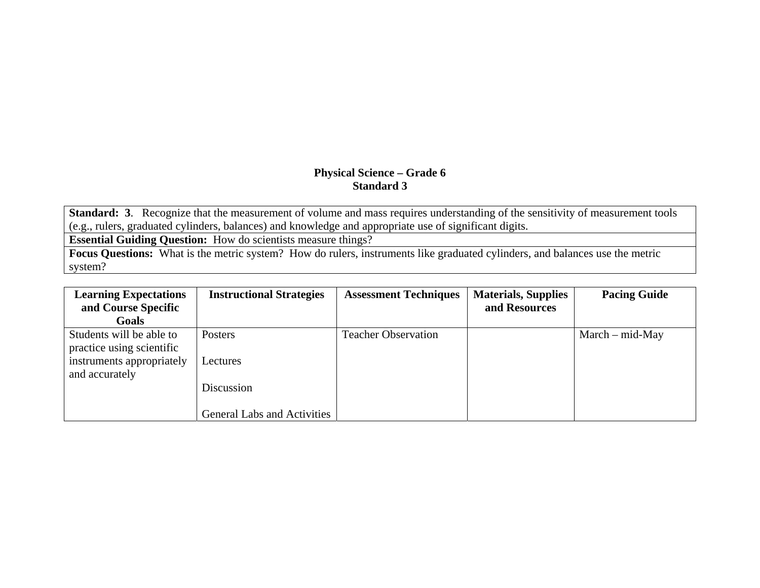**Standard: 3.** Recognize that the measurement of volume and mass requires understanding of the sensitivity of measurement tools (e.g., rulers, graduated cylinders, balances) and knowledge and appropriate use of significant digits.

**Essential Guiding Question:** How do scientists measure things?

**Focus Questions:** What is the metric system? How do rulers, instruments like graduated cylinders, and balances use the metric system?

| <b>Learning Expectations</b><br>and Course Specific<br>Goals | <b>Instructional Strategies</b>    | <b>Assessment Techniques</b> | <b>Materials, Supplies</b><br>and Resources | <b>Pacing Guide</b> |
|--------------------------------------------------------------|------------------------------------|------------------------------|---------------------------------------------|---------------------|
| Students will be able to<br>practice using scientific        | <b>Posters</b>                     | <b>Teacher Observation</b>   |                                             | $March - mid-May$   |
| instruments appropriately<br>and accurately                  | Lectures                           |                              |                                             |                     |
|                                                              | Discussion                         |                              |                                             |                     |
|                                                              | <b>General Labs and Activities</b> |                              |                                             |                     |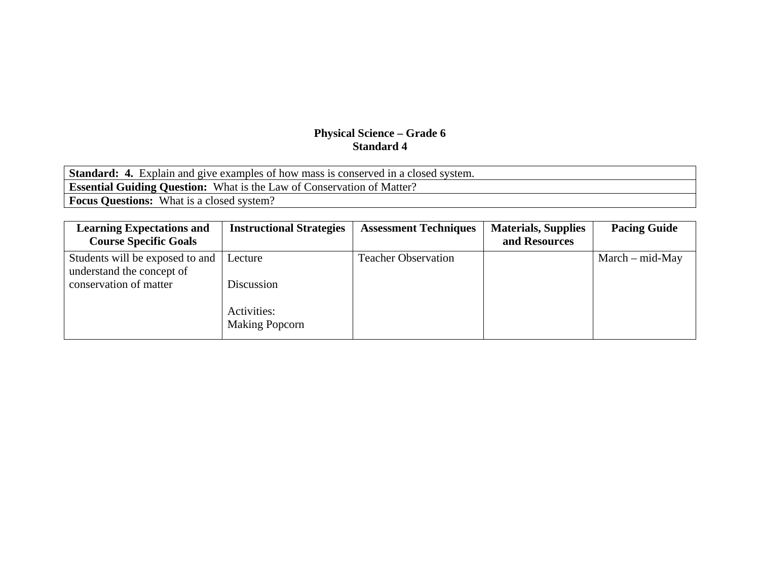| <b>Standard: 4.</b> Explain and give examples of how mass is conserved in a closed system. |
|--------------------------------------------------------------------------------------------|
| <b>Essential Guiding Question:</b> What is the Law of Conservation of Matter?              |
| <b>Focus Questions:</b> What is a closed system?                                           |

| <b>Learning Expectations and</b>                             | <b>Instructional Strategies</b>      | <b>Assessment Techniques</b> | <b>Materials, Supplies</b> | <b>Pacing Guide</b> |
|--------------------------------------------------------------|--------------------------------------|------------------------------|----------------------------|---------------------|
| <b>Course Specific Goals</b>                                 |                                      |                              | and Resources              |                     |
| Students will be exposed to and<br>understand the concept of | Lecture                              | <b>Teacher Observation</b>   |                            | $March - mid-May$   |
| conservation of matter                                       | Discussion                           |                              |                            |                     |
|                                                              | Activities:<br><b>Making Popcorn</b> |                              |                            |                     |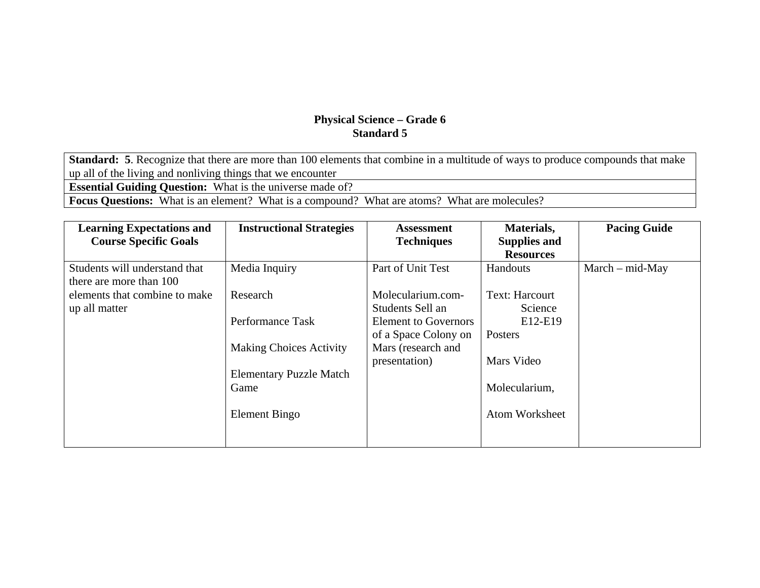**Standard: 5**. Recognize that there are more than 100 elements that combine in a multitude of ways to produce compounds that make up all of the living and nonliving things that we encounter **Essential Guiding Question:** What is the universe made of?

**Focus Questions:** What is an element? What is a compound? What are atoms? What are molecules?

| <b>Learning Expectations and</b> | <b>Instructional Strategies</b> | <b>Assessment</b>           | Materials,            | <b>Pacing Guide</b> |
|----------------------------------|---------------------------------|-----------------------------|-----------------------|---------------------|
| <b>Course Specific Goals</b>     |                                 | <b>Techniques</b>           | <b>Supplies and</b>   |                     |
|                                  |                                 |                             | <b>Resources</b>      |                     |
| Students will understand that    | Media Inquiry                   | Part of Unit Test           | <b>Handouts</b>       | $March - mid-May$   |
| there are more than 100          |                                 |                             |                       |                     |
| elements that combine to make    | Research                        | Molecularium.com-           | <b>Text: Harcourt</b> |                     |
| up all matter                    |                                 | Students Sell an            | Science               |                     |
|                                  | Performance Task                | <b>Element to Governors</b> | E12-E19               |                     |
|                                  |                                 | of a Space Colony on        | <b>Posters</b>        |                     |
|                                  | <b>Making Choices Activity</b>  | Mars (research and          |                       |                     |
|                                  |                                 | presentation)               | Mars Video            |                     |
|                                  | <b>Elementary Puzzle Match</b>  |                             |                       |                     |
|                                  | Game                            |                             | Molecularium,         |                     |
|                                  |                                 |                             |                       |                     |
|                                  | Element Bingo                   |                             | <b>Atom Worksheet</b> |                     |
|                                  |                                 |                             |                       |                     |
|                                  |                                 |                             |                       |                     |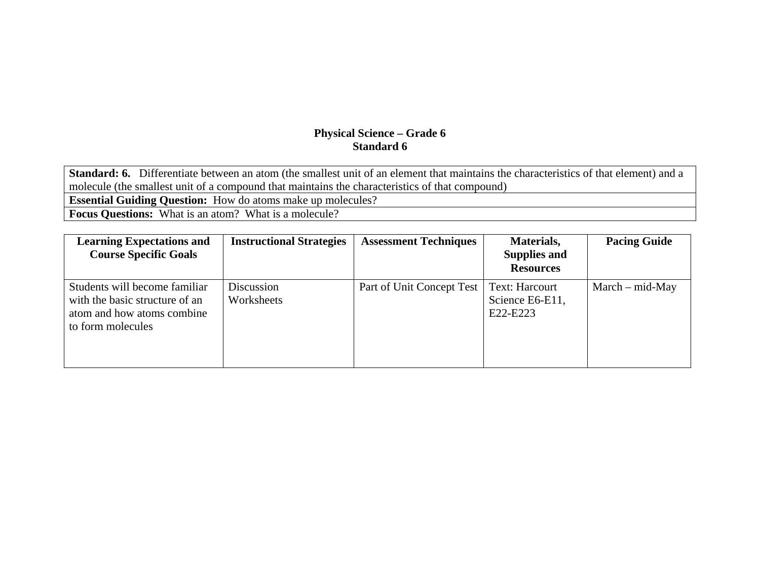**Standard: 6.** Differentiate between an atom (the smallest unit of an element that maintains the characteristics of that element) and a molecule (the smallest unit of a compound that maintains the characteristics of that compound) **Essential Guiding Question:** How do atoms make up molecules? **Focus Questions:** What is an atom? What is a molecule?

| <b>Learning Expectations and</b><br><b>Course Specific Goals</b>                                                   | <b>Instructional Strategies</b> | <b>Assessment Techniques</b> | Materials,<br><b>Supplies and</b><br><b>Resources</b> | <b>Pacing Guide</b> |
|--------------------------------------------------------------------------------------------------------------------|---------------------------------|------------------------------|-------------------------------------------------------|---------------------|
| Students will become familiar<br>with the basic structure of an<br>atom and how atoms combine<br>to form molecules | Discussion<br>Worksheets        | Part of Unit Concept Test    | <b>Text: Harcourt</b><br>Science E6-E11,<br>E22-E223  | $March - mid-May$   |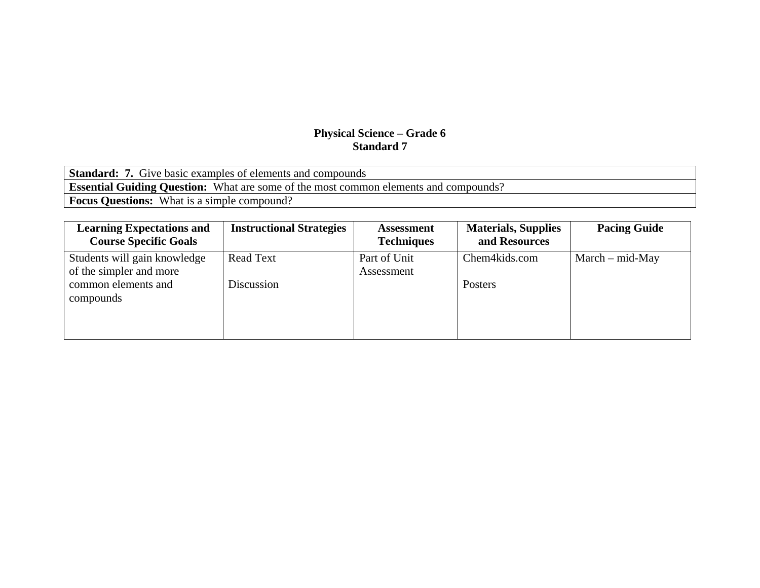| <b>Standard: 7.</b> Give basic examples of elements and compounds                           |
|---------------------------------------------------------------------------------------------|
| <b>Essential Guiding Question:</b> What are some of the most common elements and compounds? |
| <b>Focus Questions:</b> What is a simple compound?                                          |

| <b>Learning Expectations and</b><br><b>Course Specific Goals</b> | <b>Instructional Strategies</b> | <b>Assessment</b><br><b>Techniques</b> | <b>Materials, Supplies</b><br>and Resources | <b>Pacing Guide</b> |
|------------------------------------------------------------------|---------------------------------|----------------------------------------|---------------------------------------------|---------------------|
| Students will gain knowledge<br>of the simpler and more          | <b>Read Text</b>                | Part of Unit<br>Assessment             | Chem4kids.com                               | $March - mid-May$   |
| common elements and<br>compounds                                 | Discussion                      |                                        | Posters                                     |                     |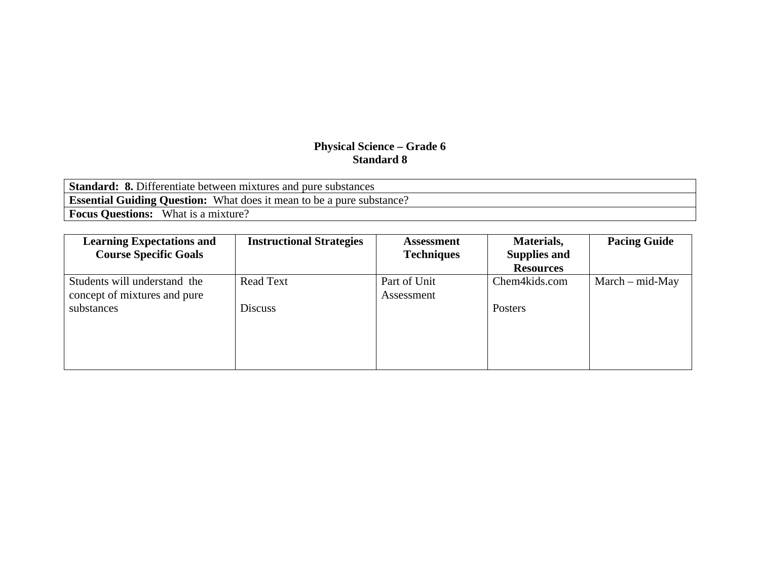| <b>Standard: 8.</b> Differentiate between mixtures and pure substances       |  |  |  |  |
|------------------------------------------------------------------------------|--|--|--|--|
| <b>Essential Guiding Question:</b> What does it mean to be a pure substance? |  |  |  |  |
| <b>Focus Questions:</b> What is a mixture?                                   |  |  |  |  |

| <b>Learning Expectations and</b> | <b>Instructional Strategies</b> | <b>Assessment</b> | Materials,          | <b>Pacing Guide</b> |
|----------------------------------|---------------------------------|-------------------|---------------------|---------------------|
| <b>Course Specific Goals</b>     |                                 | <b>Techniques</b> | <b>Supplies and</b> |                     |
|                                  |                                 |                   | <b>Resources</b>    |                     |
| Students will understand the     | <b>Read Text</b>                | Part of Unit      | Chem4kids.com       | $March - mid-May$   |
| concept of mixtures and pure     |                                 | Assessment        |                     |                     |
| substances                       | <b>Discuss</b>                  |                   | Posters             |                     |
|                                  |                                 |                   |                     |                     |
|                                  |                                 |                   |                     |                     |
|                                  |                                 |                   |                     |                     |
|                                  |                                 |                   |                     |                     |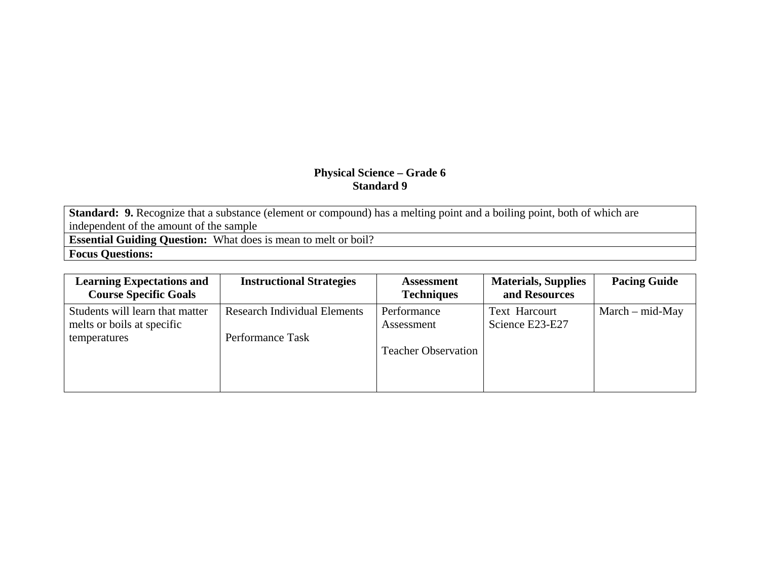Standard: 9. Recognize that a substance (element or compound) has a melting point and a boiling point, both of which are independent of the amount of the sample

**Essential Guiding Question:** What does is mean to melt or boil?

**Focus Questions:** 

| <b>Learning Expectations and</b><br><b>Course Specific Goals</b> | <b>Instructional Strategies</b>     | <b>Assessment</b><br><b>Techniques</b> | <b>Materials, Supplies</b><br>and Resources | <b>Pacing Guide</b> |
|------------------------------------------------------------------|-------------------------------------|----------------------------------------|---------------------------------------------|---------------------|
| Students will learn that matter                                  | <b>Research Individual Elements</b> | Performance                            | <b>Text Harcourt</b>                        | $March - mid-May$   |
| melts or boils at specific                                       |                                     | Assessment                             | Science E23-E27                             |                     |
| temperatures                                                     | Performance Task                    |                                        |                                             |                     |
|                                                                  |                                     | <b>Teacher Observation</b>             |                                             |                     |
|                                                                  |                                     |                                        |                                             |                     |
|                                                                  |                                     |                                        |                                             |                     |
|                                                                  |                                     |                                        |                                             |                     |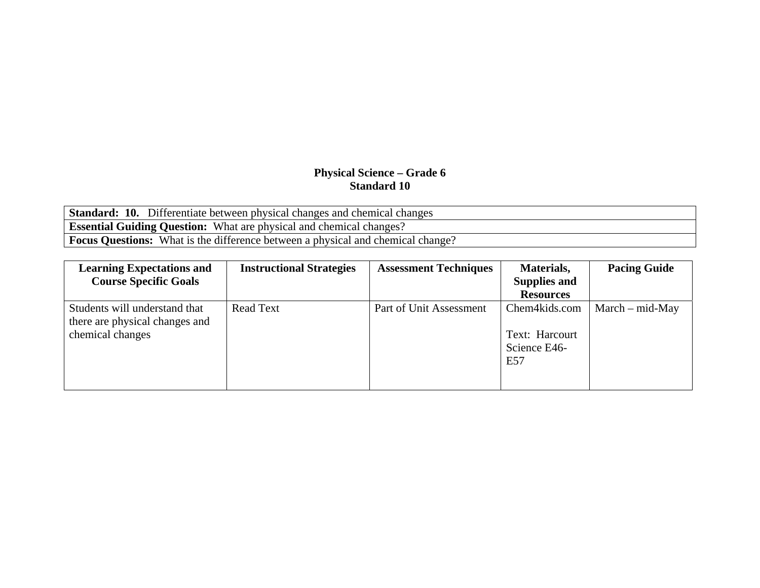**Standard: 10.** Differentiate between physical changes and chemical changes **Essential Guiding Question:** What are physical and chemical changes? **Focus Questions:** What is the difference between a physical and chemical change?

| <b>Learning Expectations and</b>                                                    | <b>Instructional Strategies</b> | <b>Assessment Techniques</b> | Materials,                                             | <b>Pacing Guide</b> |
|-------------------------------------------------------------------------------------|---------------------------------|------------------------------|--------------------------------------------------------|---------------------|
| <b>Course Specific Goals</b>                                                        |                                 |                              | <b>Supplies and</b>                                    |                     |
|                                                                                     |                                 |                              | <b>Resources</b>                                       |                     |
| Students will understand that<br>there are physical changes and<br>chemical changes | <b>Read Text</b>                | Part of Unit Assessment      | Chem4kids.com<br>Text: Harcourt<br>Science E46-<br>E57 | $March - mid-May$   |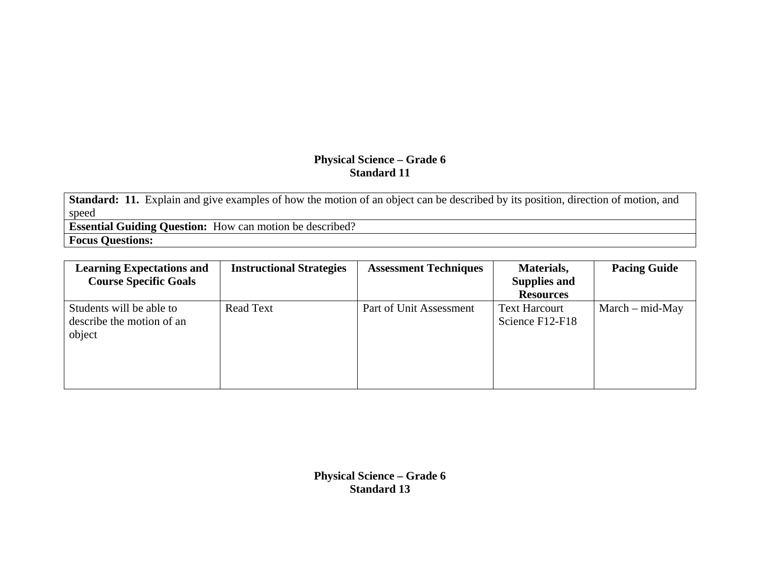**Standard: 11.** Explain and give examples of how the motion of an object can be described by its position, direction of motion, and speed

**Essential Guiding Question:** How can motion be described? **Focus Questions:** 

| <b>Learning Expectations and</b><br><b>Course Specific Goals</b> | <b>Instructional Strategies</b> | <b>Assessment Techniques</b> | Materials,<br><b>Supplies and</b><br><b>Resources</b> | <b>Pacing Guide</b> |
|------------------------------------------------------------------|---------------------------------|------------------------------|-------------------------------------------------------|---------------------|
| Students will be able to<br>describe the motion of an<br>object  | <b>Read Text</b>                | Part of Unit Assessment      | <b>Text Harcourt</b><br>Science F12-F18               | $March - mid-May$   |

**Physical Science – Grade 6 Standard 13**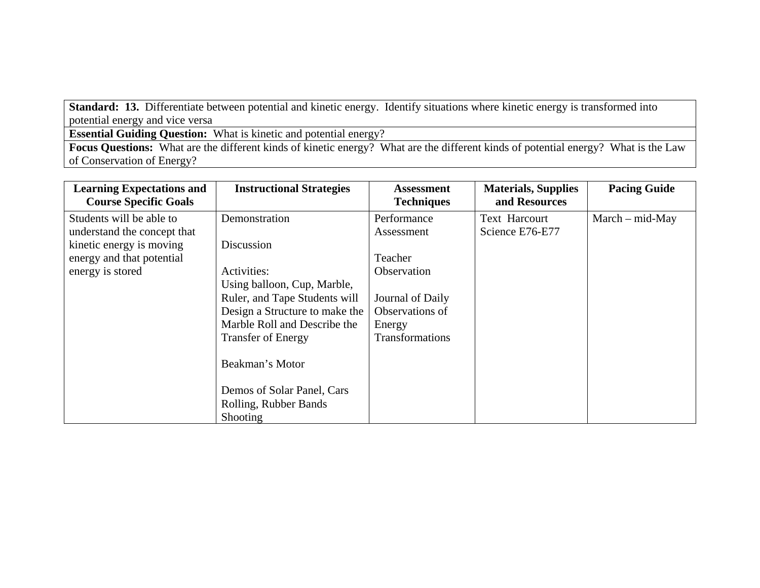**Standard: 13.** Differentiate between potential and kinetic energy. Identify situations where kinetic energy is transformed into potential energy and vice versa

**Essential Guiding Question:** What is kinetic and potential energy?

**Focus Questions:** What are the different kinds of kinetic energy? What are the different kinds of potential energy? What is the Law of Conservation of Energy?

| <b>Learning Expectations and</b> | <b>Instructional Strategies</b> | <b>Assessment</b> | <b>Materials, Supplies</b> | <b>Pacing Guide</b> |
|----------------------------------|---------------------------------|-------------------|----------------------------|---------------------|
| <b>Course Specific Goals</b>     |                                 | <b>Techniques</b> | and Resources              |                     |
| Students will be able to         | Demonstration                   | Performance       | Text Harcourt              | $March - mid-May$   |
| understand the concept that      |                                 | Assessment        | Science E76-E77            |                     |
| kinetic energy is moving         | Discussion                      |                   |                            |                     |
| energy and that potential        |                                 | Teacher           |                            |                     |
| energy is stored                 | Activities:                     | Observation       |                            |                     |
|                                  | Using balloon, Cup, Marble,     |                   |                            |                     |
|                                  | Ruler, and Tape Students will   | Journal of Daily  |                            |                     |
|                                  | Design a Structure to make the  | Observations of   |                            |                     |
|                                  | Marble Roll and Describe the    | Energy            |                            |                     |
|                                  | <b>Transfer of Energy</b>       | Transformations   |                            |                     |
|                                  |                                 |                   |                            |                     |
|                                  | Beakman's Motor                 |                   |                            |                     |
|                                  |                                 |                   |                            |                     |
|                                  | Demos of Solar Panel, Cars      |                   |                            |                     |
|                                  | Rolling, Rubber Bands           |                   |                            |                     |
|                                  | Shooting                        |                   |                            |                     |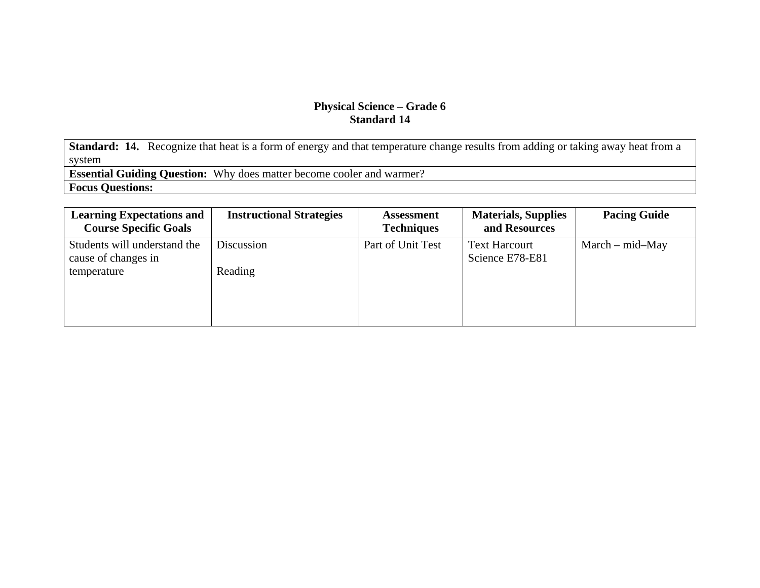**Standard: 14.** Recognize that heat is a form of energy and that temperature change results from adding or taking away heat from a system

**Essential Guiding Question:** Why does matter become cooler and warmer?

**Focus Questions:** 

| <b>Learning Expectations and</b><br><b>Course Specific Goals</b> | <b>Instructional Strategies</b> | <b>Assessment</b><br><b>Techniques</b> | <b>Materials, Supplies</b><br>and Resources | <b>Pacing Guide</b> |
|------------------------------------------------------------------|---------------------------------|----------------------------------------|---------------------------------------------|---------------------|
| Students will understand the<br>cause of changes in              | Discussion                      | Part of Unit Test                      | <b>Text Harcourt</b><br>Science E78-E81     | $March - mid-May$   |
| temperature                                                      | Reading                         |                                        |                                             |                     |
|                                                                  |                                 |                                        |                                             |                     |